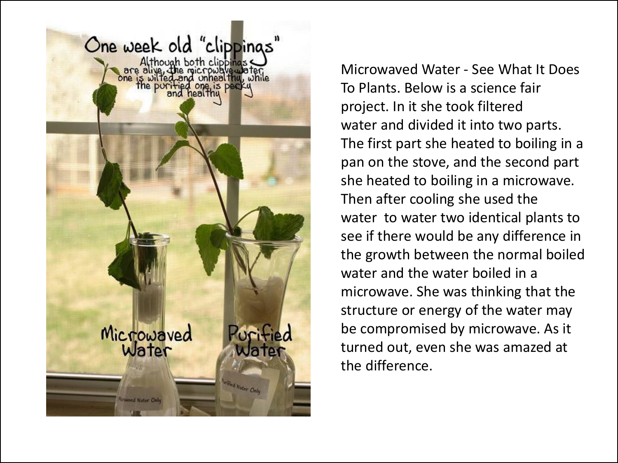

Microwaved Water - See What It Does To Plants. Below is a science fair project. In it she took filtered water and divided it into two parts. The first part she heated to boiling in a pan on the stove, and the second part she heated to boiling in a microwave. Then after cooling she used the water to water two identical plants to see if there would be any difference in the growth between the normal boiled water and the water boiled in a microwave. She was thinking that the structure or energy of the water may be compromised by microwave. As it turned out, even she was amazed at the difference.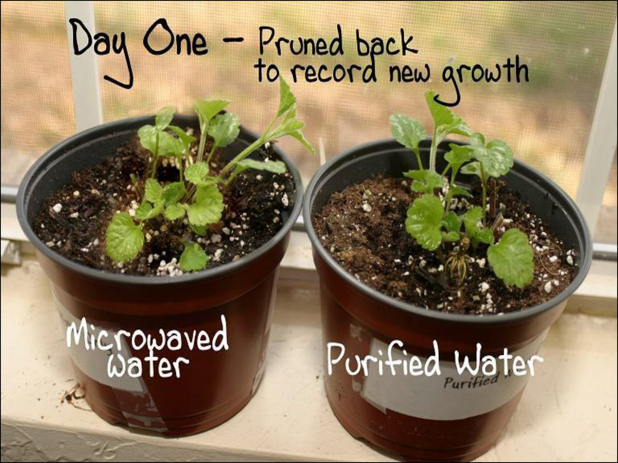# Day One - Pruned back<br>to record new growth

## Microwaved

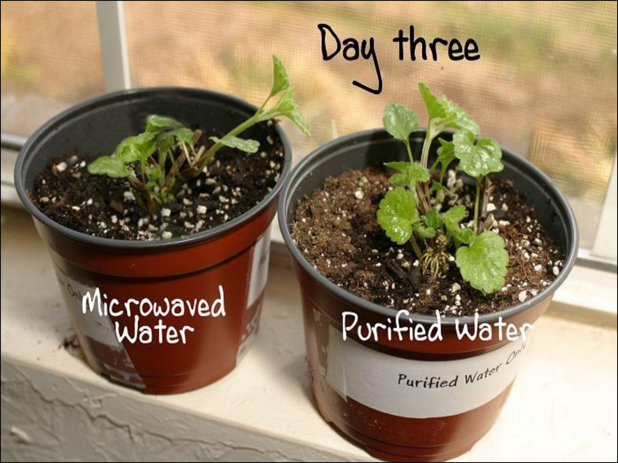### Day three

## Microwaved

### Purified Water

Purified Water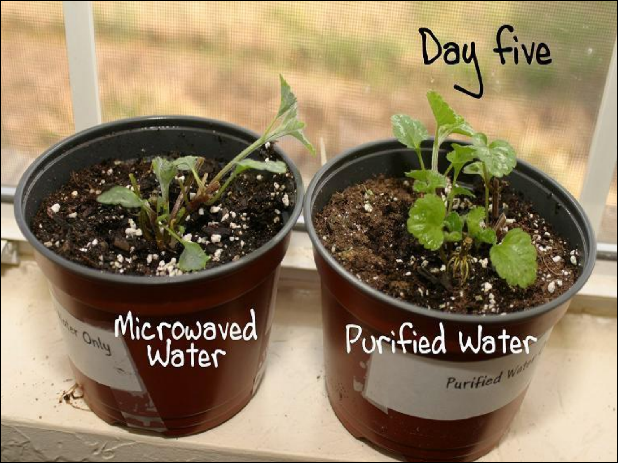## Day five

### Microwaved<br>Water in Only

### Purified Water Purified Way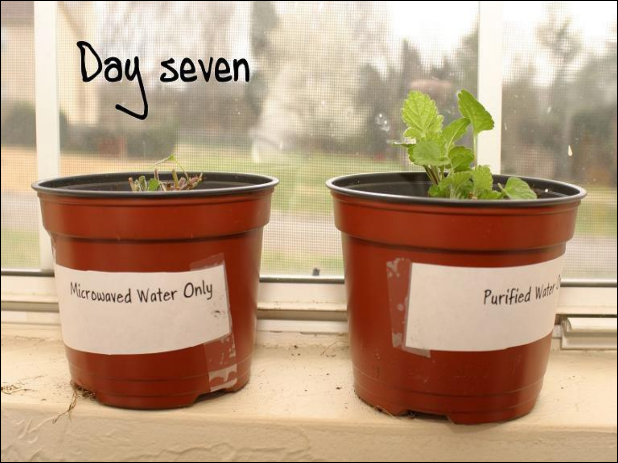## Day seven

Microwaved Water Only

Purified Water

W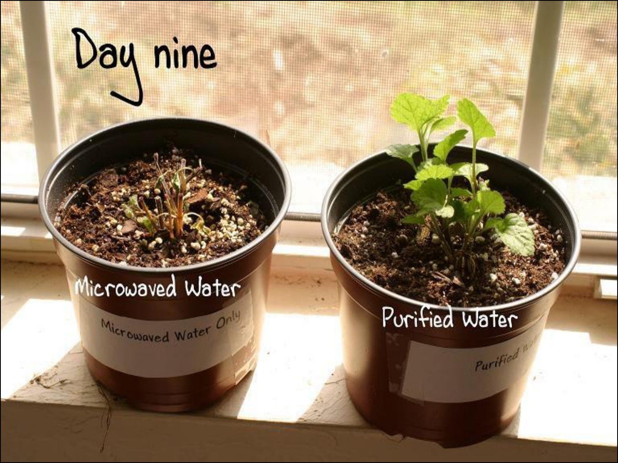## Day nine

### Microwaved Water

Microwaved Water Only

### Purified Water

Purified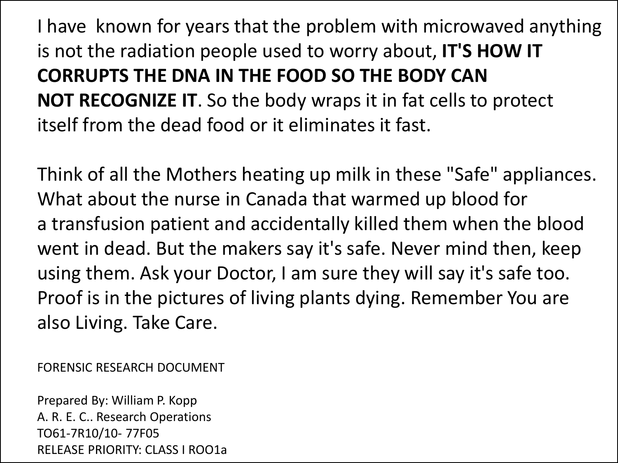I have known for years that the problem with microwaved anything is not the radiation people used to worry about, **IT'S HOW IT CORRUPTS THE DNA IN THE FOOD SO THE BODY CAN NOT RECOGNIZE IT**. So the body wraps it in fat cells to protect itself from the dead food or it eliminates it fast.

Think of all the Mothers heating up milk in these "Safe" appliances. What about the nurse in Canada that warmed up blood for a transfusion patient and accidentally killed them when the blood went in dead. But the makers say it's safe. Never mind then, keep using them. Ask your Doctor, I am sure they will say it's safe too. Proof is in the pictures of living plants dying. Remember You are also Living. Take Care.

FORENSIC RESEARCH DOCUMENT

Prepared By: William P. Kopp A. R. E. C.. Research Operations TO61-7R10/10- 77F05 RELEASE PRIORITY: CLASS I ROO1a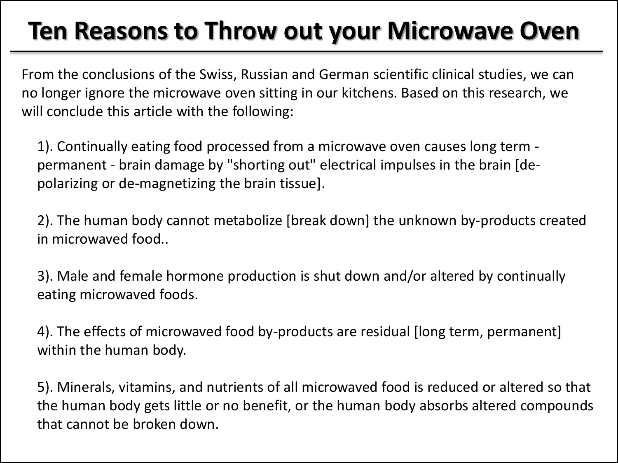### **Ten Reasons to Throw out your Microwave Oven**

From the conclusions of the Swiss, Russian and German scientific clinical studies, we can no longer ignore the microwave oven sitting in our kitchens. Based on this research, we will conclude this article with the following:

1). Continually eating food processed from a microwave oven causes long term permanent - brain damage by "shorting out" electrical impulses in the brain [depolarizing or de-magnetizing the brain tissue].

2). The human body cannot metabolize [break down] the unknown by-products created in microwaved food..

3). Male and female hormone production is shut down and/or altered by continually eating microwaved foods.

4). The effects of microwaved food by-products are residual [long term, permanent] within the human body.

5). Minerals, vitamins, and nutrients of all microwaved food is reduced or altered so that the human body gets little or no benefit, or the human body absorbs altered compounds that cannot be broken down.